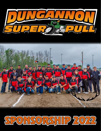



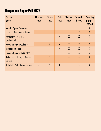# Dungannon Super Pull 2022

| Package<br>Level                                 | <b>Bronze</b><br>\$100 | <b>Silver</b><br>\$200 | <b>Gold</b><br>\$300 | <b>Platinum</b><br>\$500 | <b>Emerald</b><br>\$1000 | <b>Presenting</b><br><b>Partner</b><br>\$1500 |
|--------------------------------------------------|------------------------|------------------------|----------------------|--------------------------|--------------------------|-----------------------------------------------|
| <b>Vendor Space Reserved</b>                     |                        |                        |                      |                          | X                        | X                                             |
| Logo on Grandstand Banner                        |                        |                        |                      |                          | $\chi$                   | $\chi$                                        |
| Announcement by MC<br>during Pull                |                        |                        | $\chi$               | $\chi$                   | $\chi$                   | $\chi$                                        |
| <b>Recognition on Website</b>                    |                        | $\chi$                 | $\chi$               | $\chi$                   | $\chi$                   | X                                             |
| <b>Signage on Track</b>                          |                        | $\sf X$                | $\chi$               | $\chi$                   | $\chi$                   | $\chi$                                        |
| <b>Recognition on Social Media</b>               |                        |                        |                      | $\chi$                   | $\chi$                   | $\chi$                                        |
| <b>Tickets for Friday Night Outdoor</b><br>Dance |                        | $\overline{2}$         | $\overline{2}$       | $\overline{4}$           | $\overline{4}$           | $6\overline{6}$                               |
| <b>Tickets for Saturday Admission</b>            | $\overline{2}$         | $\overline{2}$         | $\overline{4}$       | $\overline{4}$           | $6\overline{6}$          | $6\overline{6}$                               |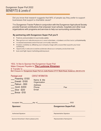Did you know that research suggests that 84% of people say they prefer to support **Example 10** businesses that support a charitable cause? **Example 20 and 20 and 20 and 20 and 20 and 20 and 20 and 20 and 20 and 20 and 20 and 20 and 20 and 20 and 20 and 20 and 20 and 20 and 20 and 20 and 20 and 20 and 20** 

This is our 21st Anniversary of the Annual Dungannon Super Pull, Voted '#1 Pull of The Year' 2015,

The Dungannon Tractor Pullers in conjunction with the Dungannon Agricultural Society provide financial contributions that empower local schools, hospitals and other local organizations with programs and services to help our surrounding communities.

### **The Dungannon Super Pull you'll construct the Dungannon Super Pull you'll construct the weekend with an outdoor**

- **By partnering <b>a** Publicity and promotion in local media outlets **American** Super Pull begins, and tractor pull begins, all of our truck and tractor pull begins, all of our truck and truck and truck and truck and truck an
- Publicity and valuable exposure to event at the Dungannon Fair Grounds.
	- Increased awareness and enhanced community networks
- Increase and enhanced community networks and enhanced community networks<br>
Positive credibility by affiliating your company image with a cause that supports your local • Positive credibility by affiliating your company image with a cause that supports your local  $S$  Scanner, upgrades to the Dungannon Fair Grounds, Wheels for William (wheelchair accessible van for William (wheelchair accessible van for William (wheelchair accessible van for William (wheelchair accessible van for Wi
- $\bullet$  Cpportunity to educate sizeable audiences about your company product/services
- **•** Cow cost/high impact marketing and exposure **Audiences about your company public School**, Holmesville and Col

### YES, I'd like to Sponsor the Dungannon Super Pull: Make Cheques Payable to **The Lucknow Kinsmen** E Transfer to **Mail Cheques to: Dungannon Super Pull c/o Jodie Ruston 37117 Blyth Road, Goderich, ON N7A 3Y2** Make Cheques Payable to **The Dungannon Agricultural Society** Wake Cheques Payable to The Lucknow Kinsh **Mail Cheques to: Dungannon Super Pull c/o Jodie Ruston 37117 Blyth Road, Goderich, ON N7A 3Y2** Our Pull's line up will consist of The Ontario Truck and Tractor Pullers Association, Good Times Truck Pullers Association as the Southwestern Ontario Tractor Pullers Association.

Thanks,

### **Package Level CONTACT INFORMATION:** Everyone in the past and we look for the past and the past and the Super Pu

| Presenting -\$1500<br>Emerald - \$1000<br>Platinum - \$500<br>Gold -\$300<br><b>Silver -\$200</b> | Name & title<br>Organization<br><b>Address</b><br>Phone<br><b>Email</b> | Fax |  |
|---------------------------------------------------------------------------------------------------|-------------------------------------------------------------------------|-----|--|
| Bronze - \$100                                                                                    |                                                                         |     |  |

| Accepted this<br>day of     | 2022                            | $\frac{1}{2} \left( \frac{1}{2} \right) \left( \frac{1}{2} \right) \left( \frac{1}{2} \right) \left( \frac{1}{2} \right) \left( \frac{1}{2} \right) \left( \frac{1}{2} \right) \left( \frac{1}{2} \right) \left( \frac{1}{2} \right) \left( \frac{1}{2} \right) \left( \frac{1}{2} \right) \left( \frac{1}{2} \right) \left( \frac{1}{2} \right) \left( \frac{1}{2} \right) \left( \frac{1}{2} \right) \left( \frac{1}{2} \right) \left( \frac{1}{2} \right) \left( \frac$                  |
|-----------------------------|---------------------------------|---------------------------------------------------------------------------------------------------------------------------------------------------------------------------------------------------------------------------------------------------------------------------------------------------------------------------------------------------------------------------------------------------------------------------------------------------------------------------------------------|
| <b>Sponsor:</b>             | <b>Dungannon SuperPull:</b>     | $\frac{1}{2}$<br>$\frac{1}{2}$                                                                                                                                                                                                                                                                                                                                                                                                                                                              |
|                             |                                 | $\frac{1}{2}$<br>$\frac{1}{2} \left( \frac{1}{2} \right) \left( \frac{1}{2} \right) \left( \frac{1}{2} \right) \left( \frac{1}{2} \right)$                                                                                                                                                                                                                                                                                                                                                  |
| <b>Authorized Signature</b> | <b>Representative Signature</b> | $\frac{1}{2}$<br>$\frac{1}{2} \left( \frac{1}{2} \right) \left( \frac{1}{2} \right) \left( \frac{1}{2} \right) \left( \frac{1}{2} \right) \left( \frac{1}{2} \right) \left( \frac{1}{2} \right) \left( \frac{1}{2} \right) \left( \frac{1}{2} \right) \left( \frac{1}{2} \right) \left( \frac{1}{2} \right) \left( \frac{1}{2} \right) \left( \frac{1}{2} \right) \left( \frac{1}{2} \right) \left( \frac{1}{2} \right) \left( \frac{1}{2} \right) \left( \frac{1}{2} \right) \left( \frac$ |
| $\sim$ $\sim$               |                                 |                                                                                                                                                                                                                                                                                                                                                                                                                                                                                             |

Sponsor/Advertiser's Name (please print) Representative Name(print)